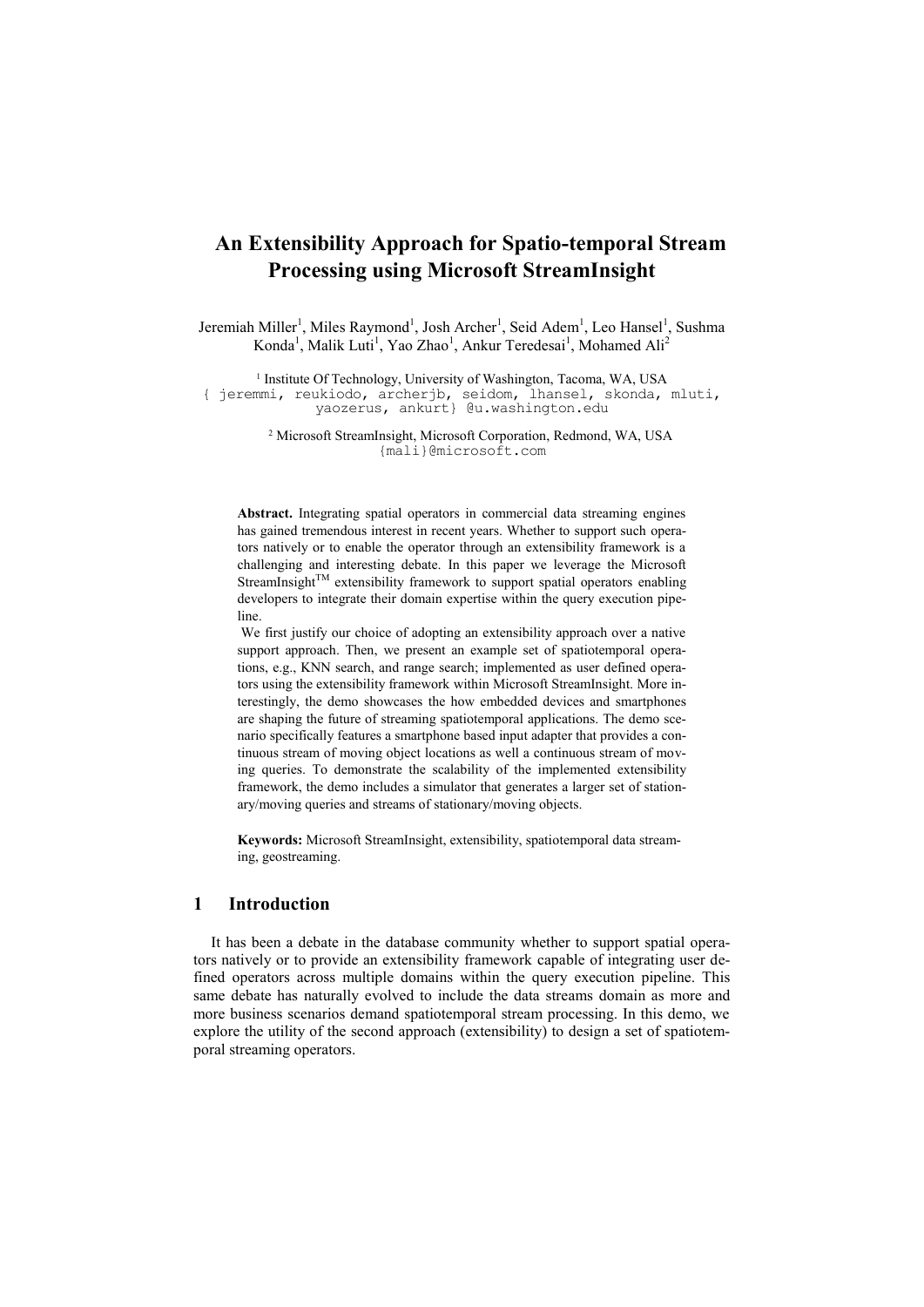# **An Extensibility Approach for Spatio-temporal Stream Processing using Microsoft StreamInsight**

Jeremiah Miller<sup>1</sup>, Miles Raymond<sup>1</sup>, Josh Archer<sup>1</sup>, Seid Adem<sup>1</sup>, Leo Hansel<sup>1</sup>, Sushma Konda<sup>1</sup>, Malik Luti<sup>1</sup>, Yao Zhao<sup>1</sup>, Ankur Teredesai<sup>1</sup>, Mohamed Ali<sup>2</sup>

<sup>1</sup> Institute Of Technology, University of Washington, Tacoma, WA, USA { jeremmi, reukiodo, archerjb, seidom, lhansel, skonda, mluti, yaozerus, ankurt} [@u](mailto:LNCS@Springer.com).washington.edu

> <sup>2</sup> Microsoft StreamInsight, Microsoft Corporation, Redmond, WA, USA {mali}@microsoft.com

**Abstract.** Integrating spatial operators in commercial data streaming engines has gained tremendous interest in recent years. Whether to support such operators natively or to enable the operator through an extensibility framework is a challenging and interesting debate. In this paper we leverage the Microsoft StreamInsight<sup>™</sup> extensibility framework to support spatial operators enabling developers to integrate their domain expertise within the query execution pipeline.

We first justify our choice of adopting an extensibility approach over a native support approach. Then, we present an example set of spatiotemporal operations, e.g., KNN search, and range search; implemented as user defined operators using the extensibility framework within Microsoft StreamInsight. More interestingly, the demo showcases the how embedded devices and smartphones are shaping the future of streaming spatiotemporal applications. The demo scenario specifically features a smartphone based input adapter that provides a continuous stream of moving object locations as well a continuous stream of moving queries. To demonstrate the scalability of the implemented extensibility framework, the demo includes a simulator that generates a larger set of stationary/moving queries and streams of stationary/moving objects.

**Keywords:** Microsoft StreamInsight, extensibility, spatiotemporal data streaming, geostreaming.

## **1 Introduction**

It has been a debate in the database community whether to support spatial operators natively or to provide an extensibility framework capable of integrating user defined operators across multiple domains within the query execution pipeline. This same debate has naturally evolved to include the data streams domain as more and more business scenarios demand spatiotemporal stream processing. In this demo, we explore the utility of the second approach (extensibility) to design a set of spatiotemporal streaming operators.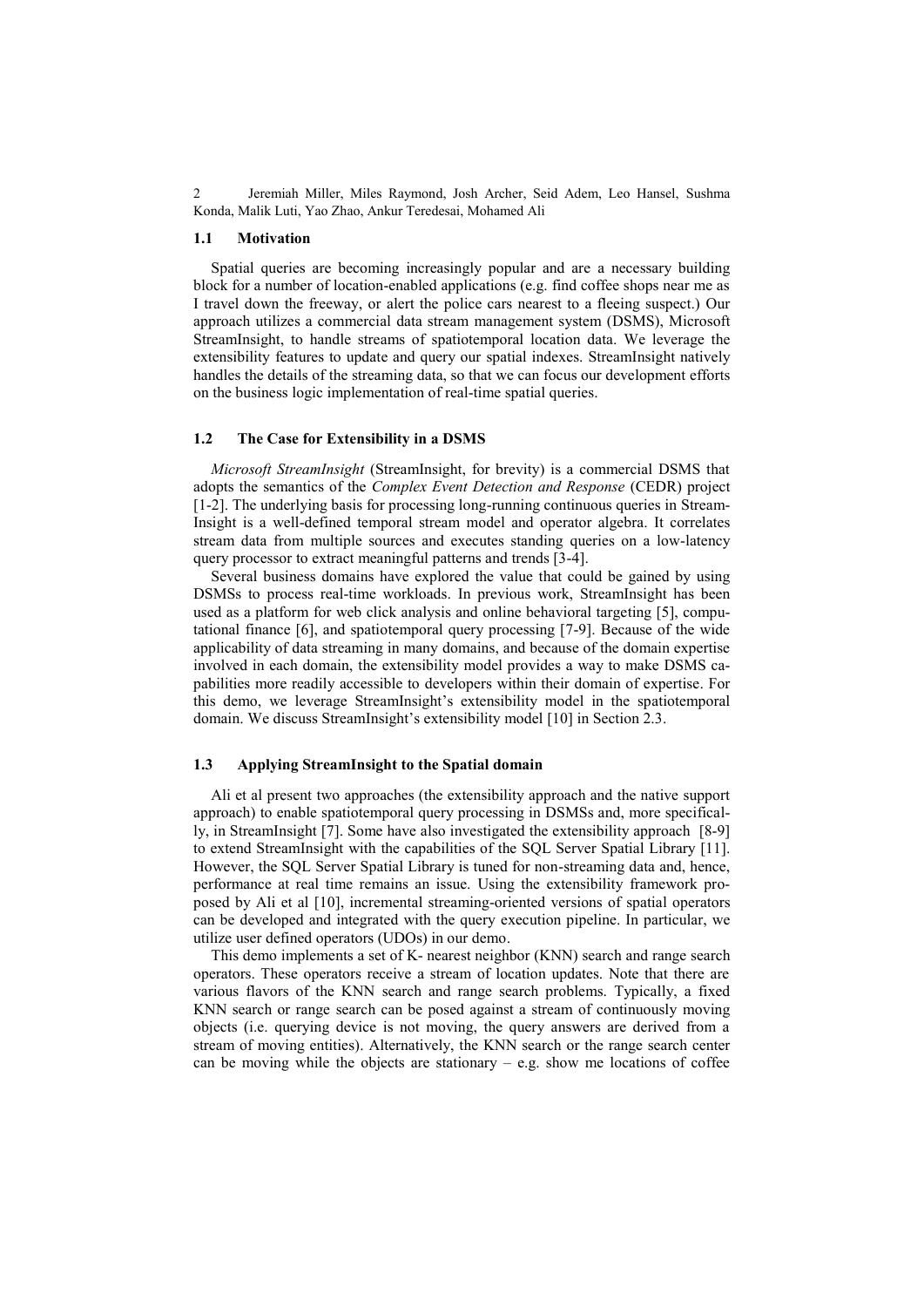2 Jeremiah Miller, Miles Raymond, Josh Archer, Seid Adem, Leo Hansel, Sushma Konda, Malik Luti, Yao Zhao, Ankur Teredesai, Mohamed Ali

#### **1.1 Motivation**

Spatial queries are becoming increasingly popular and are a necessary building block for a number of location-enabled applications (e.g. find coffee shops near me as I travel down the freeway, or alert the police cars nearest to a fleeing suspect.) Our approach utilizes a commercial data stream management system (DSMS), Microsoft StreamInsight, to handle streams of spatiotemporal location data. We leverage the extensibility features to update and query our spatial indexes. StreamInsight natively handles the details of the streaming data, so that we can focus our development efforts on the business logic implementation of real-time spatial queries.

#### **1.2 The Case for Extensibility in a DSMS**

*Microsoft StreamInsight* (StreamInsight, for brevity) is a commercial DSMS that adopts the semantics of the *Complex Event Detection and Response* (CEDR) project [1-2]. The underlying basis for processing long-running continuous queries in Stream-Insight is a well-defined temporal stream model and operator algebra. It correlates stream data from multiple sources and executes standing queries on a low-latency query processor to extract meaningful patterns and trends [3-4].

Several business domains have explored the value that could be gained by using DSMSs to process real-time workloads. In previous work, StreamInsight has been used as a platform for web click analysis and online behavioral targeting [5], computational finance [6], and spatiotemporal query processing [7-9]. Because of the wide applicability of data streaming in many domains, and because of the domain expertise involved in each domain, the extensibility model provides a way to make DSMS capabilities more readily accessible to developers within their domain of expertise. For this demo, we leverage StreamInsight's extensibility model in the spatiotemporal domain. We discuss StreamInsight's extensibility model [10] in Section 2.3.

#### **1.3 Applying StreamInsight to the Spatial domain**

Ali et al present two approaches (the extensibility approach and the native support approach) to enable spatiotemporal query processing in DSMSs and, more specifically, in StreamInsight [7]. Some have also investigated the extensibility approach [8-9] to extend StreamInsight with the capabilities of the SQL Server Spatial Library [11]. However, the SQL Server Spatial Library is tuned for non-streaming data and, hence, performance at real time remains an issue. Using the extensibility framework proposed by Ali et al [10], incremental streaming-oriented versions of spatial operators can be developed and integrated with the query execution pipeline. In particular, we utilize user defined operators (UDOs) in our demo.

This demo implements a set of K- nearest neighbor (KNN) search and range search operators. These operators receive a stream of location updates. Note that there are various flavors of the KNN search and range search problems. Typically, a fixed KNN search or range search can be posed against a stream of continuously moving objects (i.e. querying device is not moving, the query answers are derived from a stream of moving entities). Alternatively, the KNN search or the range search center can be moving while the objects are stationary  $-$  e.g. show me locations of coffee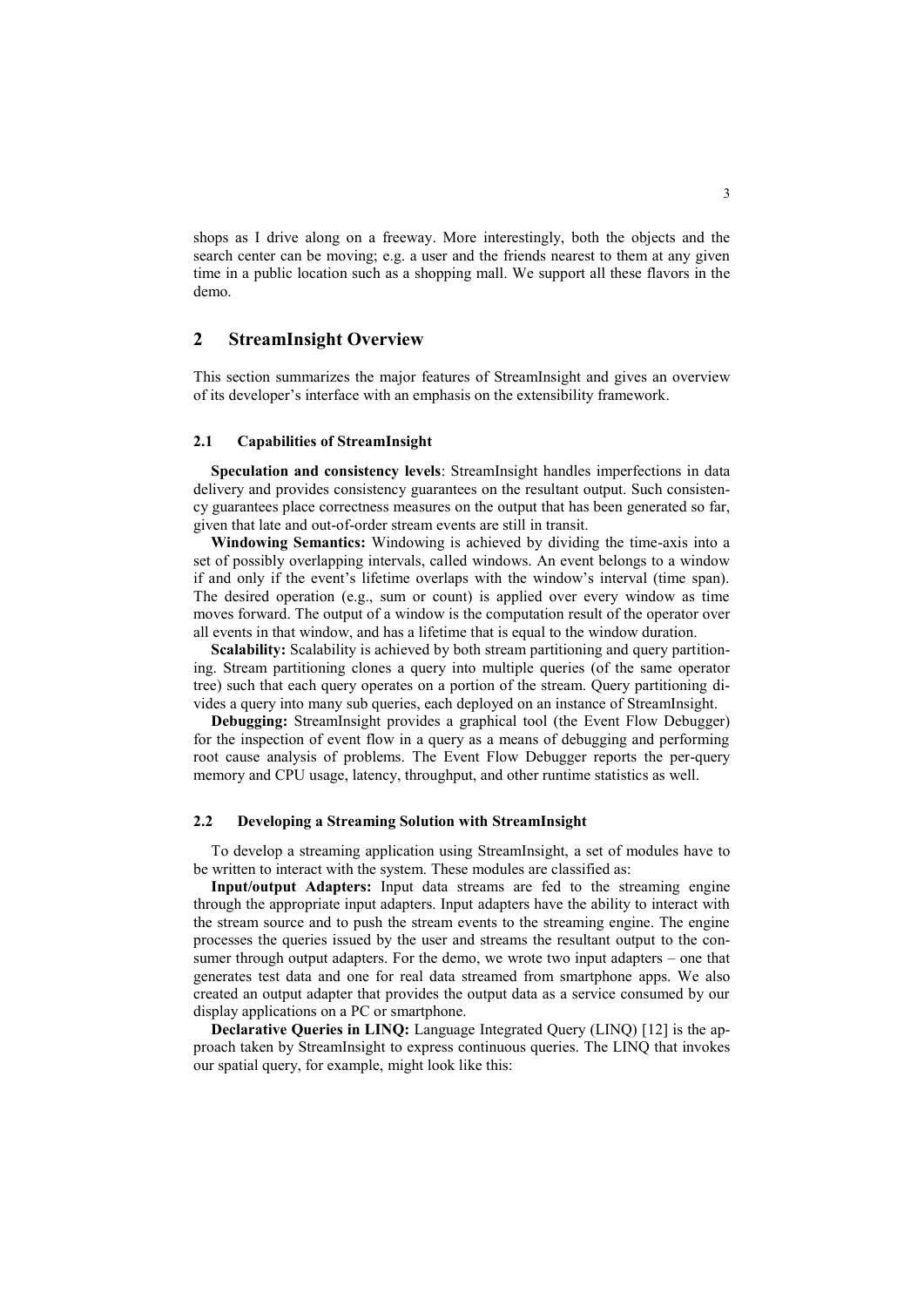shops as I drive along on a freeway. More interestingly, both the objects and the search center can be moving; e.g. a user and the friends nearest to them at any given time in a public location such as a shopping mall. We support all these flavors in the demo.

## **2 StreamInsight Overview**

This section summarizes the major features of StreamInsight and gives an overview of its developer's interface with an emphasis on the extensibility framework.

### **2.1 Capabilities of StreamInsight**

**Speculation and consistency levels**: StreamInsight handles imperfections in data delivery and provides consistency guarantees on the resultant output. Such consistency guarantees place correctness measures on the output that has been generated so far, given that late and out-of-order stream events are still in transit.

**Windowing Semantics:** Windowing is achieved by dividing the time-axis into a set of possibly overlapping intervals, called windows. An event belongs to a window if and only if the event's lifetime overlaps with the window's interval (time span). The desired operation (e.g., sum or count) is applied over every window as time moves forward. The output of a window is the computation result of the operator over all events in that window, and has a lifetime that is equal to the window duration.

**Scalability:** Scalability is achieved by both stream partitioning and query partitioning. Stream partitioning clones a query into multiple queries (of the same operator tree) such that each query operates on a portion of the stream. Query partitioning divides a query into many sub queries, each deployed on an instance of StreamInsight.

**Debugging:** StreamInsight provides a graphical tool (the Event Flow Debugger) for the inspection of event flow in a query as a means of debugging and performing root cause analysis of problems. The Event Flow Debugger reports the per-query memory and CPU usage, latency, throughput, and other runtime statistics as well.

#### **2.2 Developing a Streaming Solution with StreamInsight**

To develop a streaming application using StreamInsight, a set of modules have to be written to interact with the system. These modules are classified as:

**Input/output Adapters:** Input data streams are fed to the streaming engine through the appropriate input adapters. Input adapters have the ability to interact with the stream source and to push the stream events to the streaming engine. The engine processes the queries issued by the user and streams the resultant output to the consumer through output adapters. For the demo, we wrote two input adapters – one that generates test data and one for real data streamed from smartphone apps. We also created an output adapter that provides the output data as a service consumed by our display applications on a PC or smartphone.

**Declarative Queries in LINQ:** Language Integrated Query (LINQ) [12] is the approach taken by StreamInsight to express continuous queries. The LINQ that invokes our spatial query, for example, might look like this: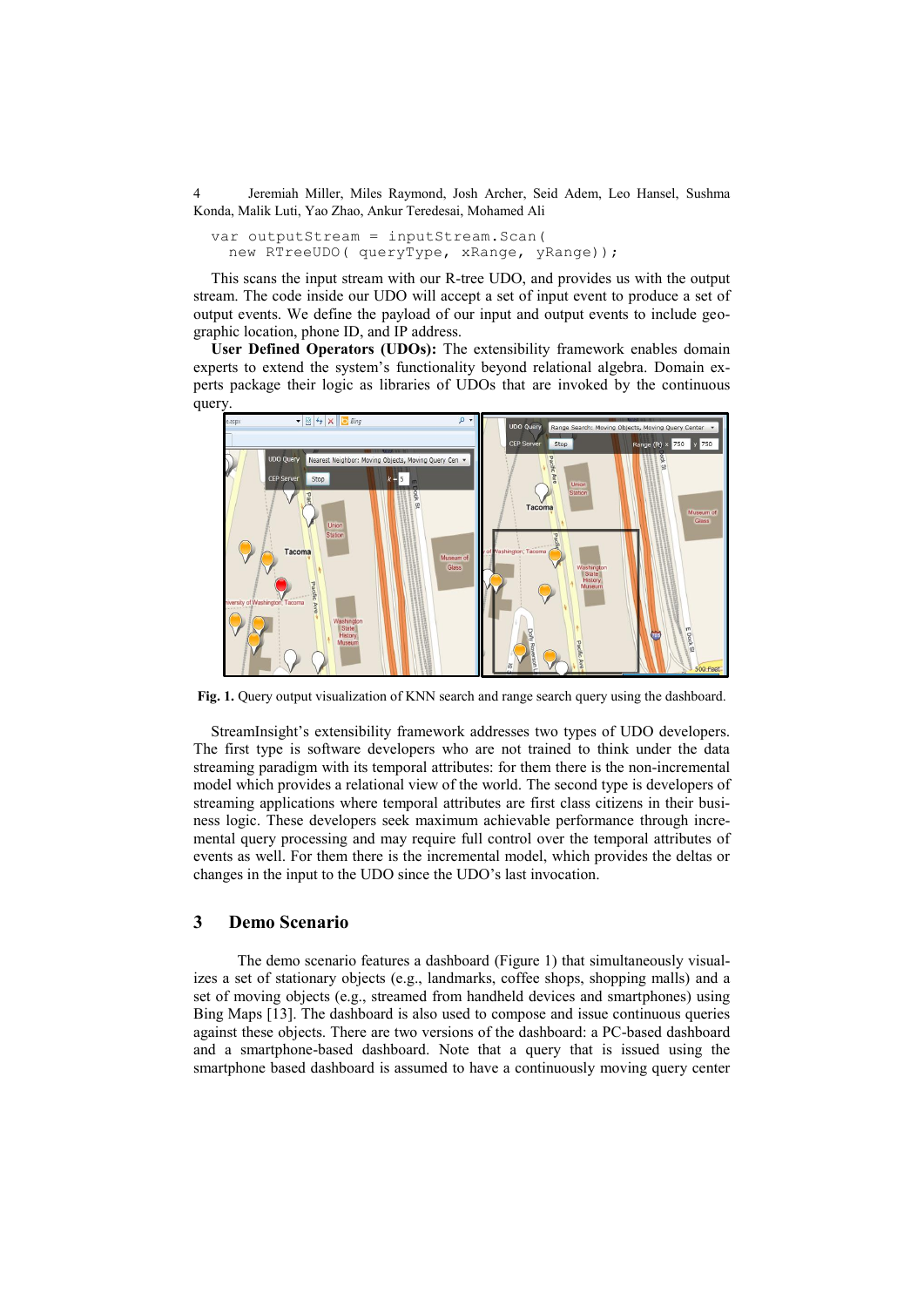4 Jeremiah Miller, Miles Raymond, Josh Archer, Seid Adem, Leo Hansel, Sushma Konda, Malik Luti, Yao Zhao, Ankur Teredesai, Mohamed Ali

```
var outputStream = inputStream.Scan( 
new RTreeUDO ( queryType, xRange, yRange) ) ;
```
This scans the input stream with our R-tree UDO, and provides us with the output stream. The code inside our UDO will accept a set of input event to produce a set of output events. We define the payload of our input and output events to include geographic location, phone ID, and IP address.

**User Defined Operators (UDOs):** The extensibility framework enables domain experts to extend the system's functionality beyond relational algebra. Domain experts package their logic as libraries of UDOs that are invoked by the continuous query.



**Fig. 1.** Query output visualization of KNN search and range search query using the dashboard.

StreamInsight's extensibility framework addresses two types of UDO developers. The first type is software developers who are not trained to think under the data streaming paradigm with its temporal attributes: for them there is the non-incremental model which provides a relational view of the world. The second type is developers of streaming applications where temporal attributes are first class citizens in their business logic. These developers seek maximum achievable performance through incremental query processing and may require full control over the temporal attributes of events as well. For them there is the incremental model, which provides the deltas or changes in the input to the UDO since the UDO's last invocation.

## **3 Demo Scenario**

The demo scenario features a dashboard (Figure 1) that simultaneously visualizes a set of stationary objects (e.g., landmarks, coffee shops, shopping malls) and a set of moving objects (e.g., streamed from handheld devices and smartphones) using Bing Maps [13]. The dashboard is also used to compose and issue continuous queries against these objects. There are two versions of the dashboard: a PC-based dashboard and a smartphone-based dashboard. Note that a query that is issued using the smartphone based dashboard is assumed to have a continuously moving query center